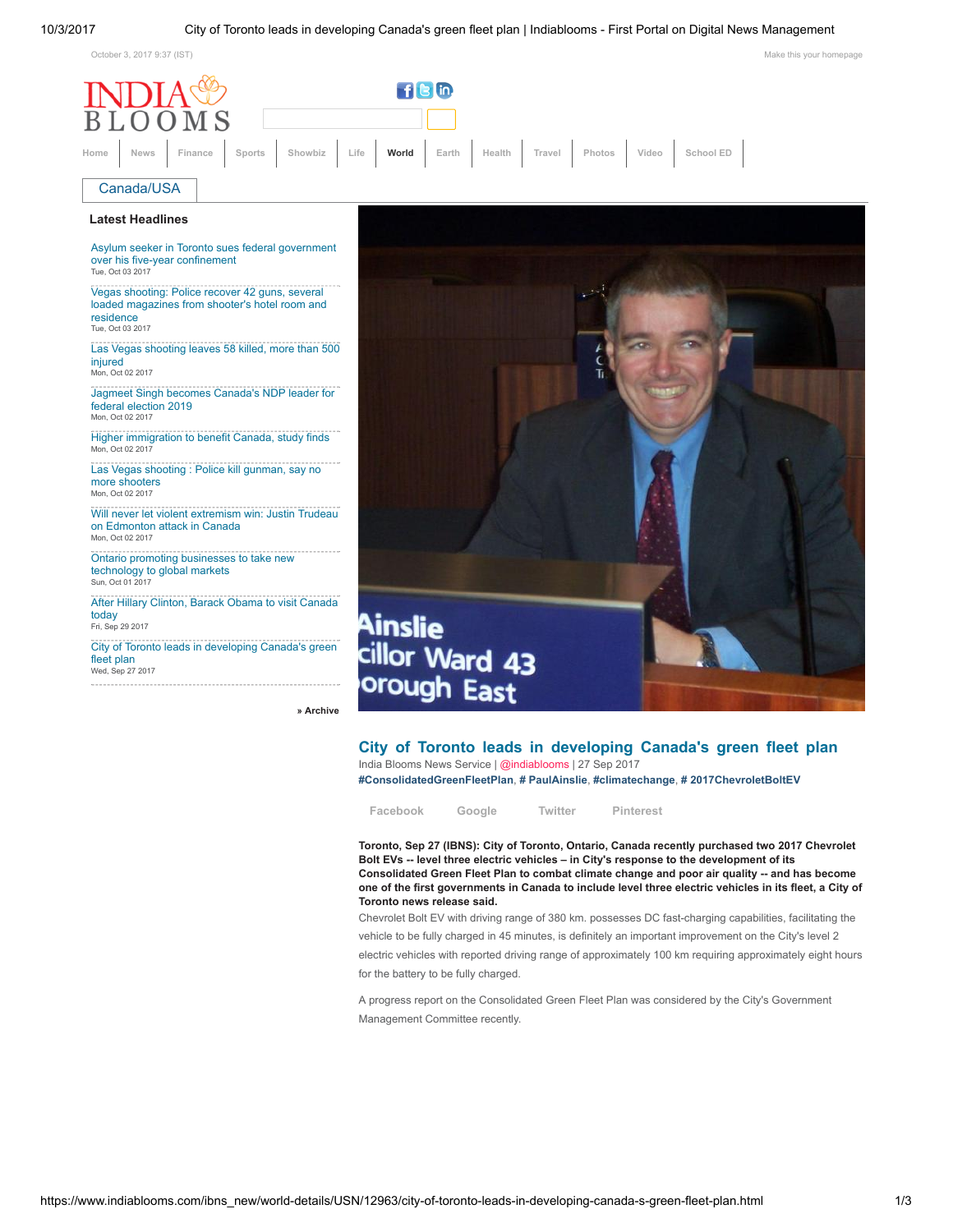<span id="page-0-0"></span>

[» Archive](https://www.indiablooms.com/ibns_new/archive.html#world)

## City of Toronto leads in developing Canada's green fleet plan

India Blooms News Service | [@indiablooms](https://twitter.com/indiablooms) | 27 Sep 2017 [#ConsolidatedGreenFleetPlan](https://www.indiablooms.com/ibns_new/tag/W/consolidatedgreenfleetplan), [# PaulAinslie](https://www.indiablooms.com/ibns_new/tag/W/paulainslie), [#climatechange](https://www.indiablooms.com/ibns_new/tag/W/climatechange), [# 2017ChevroletBoltEV](https://www.indiablooms.com/ibns_new/tag/W/2017chevroletboltev)

[Facebook](https://www.indiablooms.com/ibns_new/world-details/USN/12963/city-of-toronto-leads-in-developing-canada-s-green-fleet-plan.html) [Google](https://www.indiablooms.com/ibns_new/world-details/USN/12963/city-of-toronto-leads-in-developing-canada-s-green-fleet-plan.html) [Twitter](https://www.indiablooms.com/ibns_new/world-details/USN/12963/city-of-toronto-leads-in-developing-canada-s-green-fleet-plan.html) [Pinterest](javascript:javascript:void((function(){var e=document.createElement()

Toronto, Sep 27 (IBNS): City of Toronto, Ontario, Canada recently purchased two 2017 Chevrolet Bolt EVs -- level three electric vehicles – in City's response to the development of its Consolidated Green Fleet Plan to combat climate change and poor air quality -- and has become one of the first governments in Canada to include level three electric vehicles in its fleet, a City of Toronto news release said.

Chevrolet Bolt EV with driving range of 380 km. possesses DC fast-charging capabilities, facilitating the vehicle to be fully charged in 45 minutes, is definitely an important improvement on the City's level 2 electric vehicles with reported driving range of approximately 100 km requiring approximately eight hours for the battery to be fully charged.

A progress report on the Consolidated Green Fleet Plan was considered by the City's Government Management Committee recently.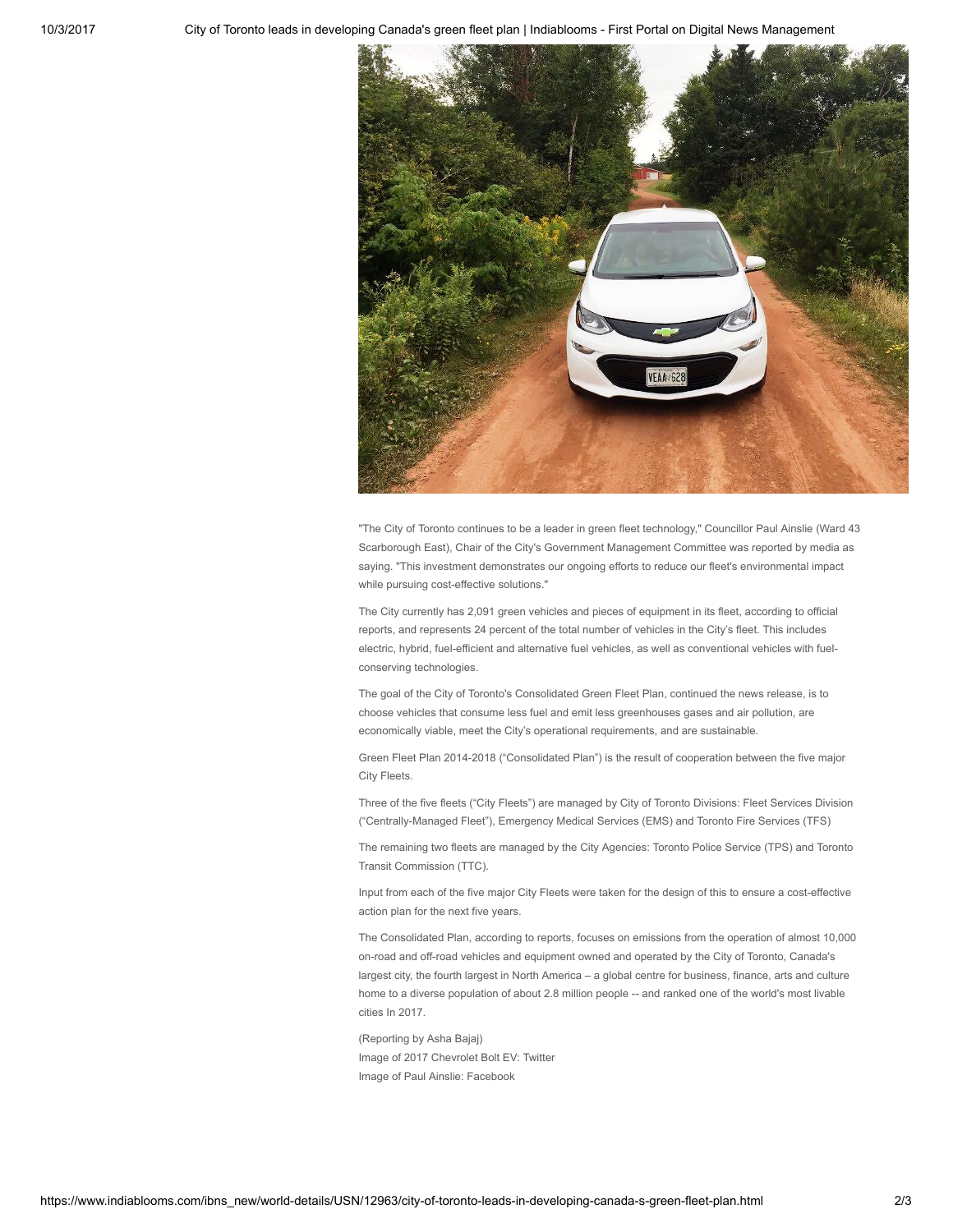

"The City of Toronto continues to be a leader in green fleet technology," Councillor Paul Ainslie (Ward 43 Scarborough East), Chair of the City's Government Management Committee was reported by media as saying. "This investment demonstrates our ongoing efforts to reduce our fleet's environmental impact while pursuing cost-effective solutions."

The City currently has 2,091 green vehicles and pieces of equipment in its fleet, according to official reports, and represents 24 percent of the total number of vehicles in the City's fleet. This includes electric, hybrid, fuel-efficient and alternative fuel vehicles, as well as conventional vehicles with fuelconserving technologies.

The goal of the City of Toronto's Consolidated Green Fleet Plan, continued the news release, is to choose vehicles that consume less fuel and emit less greenhouses gases and air pollution, are economically viable, meet the City's operational requirements, and are sustainable.

Green Fleet Plan 2014-2018 ("Consolidated Plan") is the result of cooperation between the five major City Fleets.

Three of the five fleets ("City Fleets") are managed by City of Toronto Divisions: Fleet Services Division ("Centrally-Managed Fleet"), Emergency Medical Services (EMS) and Toronto Fire Services (TFS)

The remaining two fleets are managed by the City Agencies: Toronto Police Service (TPS) and Toronto Transit Commission (TTC).

Input from each of the five major City Fleets were taken for the design of this to ensure a cost-effective action plan for the next five years.

The Consolidated Plan, according to reports, focuses on emissions from the operation of almost 10,000 on-road and off-road vehicles and equipment owned and operated by the City of Toronto, Canada's largest city, the fourth largest in North America – a global centre for business, finance, arts and culture home to a diverse population of about 2.8 million people -- and ranked one of the world's most livable cities In 2017.

(Reporting by Asha Bajaj) Image of 2017 Chevrolet Bolt EV: Twitter Image of Paul Ainslie: Facebook